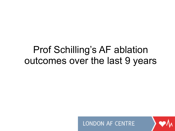#### Prof Schilling's AF ablation outcomes over the last 9 years

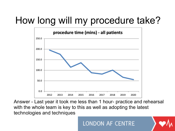# How long will my procedure take?



Answer - Last year it took me less than 1 hour- practice and rehearsal with the whole team is key to this as well as adopting the latest technologies and techniques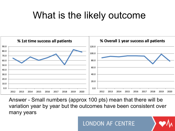# What is the likely outcome



Answer - Small numbers (approx 100 pts) mean that there will be variation year by year but the outcomes have been consistent over many years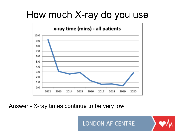## How much X-ray do you use



Answer - X-ray times continue to be very low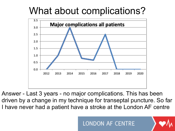## What about complications?



Answer - Last 3 years - no major complications. This has been driven by a change in my technique for transeptal puncture. So far I have never had a patient have a stroke at the London AF centre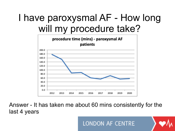# I have paroxysmal AF - How long will my procedure take?



Answer - It has taken me about 60 mins consistently for the last 4 years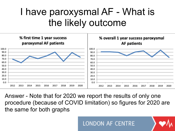### I have paroxysmal AF - What is the likely outcome



Answer - Note that for 2020 we report the results of only one procedure (because of COVID limitation) so figures for 2020 are the same for both graphs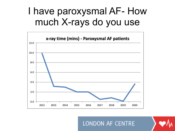### I have paroxysmal AF- How much X-rays do you use



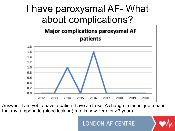#### I have paroxysmal AF- What about complications?



Answer - I am yet to have a patient have a stroke. A change in technique means that my tamponade (blood leaking) rate is now zero for >3 years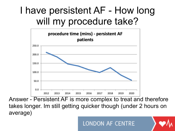# I have persistent AF - How long will my procedure take?



Answer - Persistent AF is more complex to treat and therefore takes longer. Im still getting quicker though (under 2 hours on average)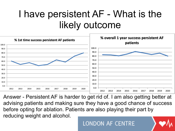## I have persistent AF - What is the likely outcome



Answer - Persistent AF is harder to get rid of. I am also getting better at advising patients and making sure they have a good chance of success before opting for ablation. Patients are also playing their part by reducing weight and alcohol.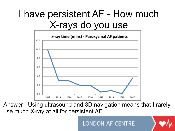## I have persistent AF - How much X-rays do you use



Answer - Using ultrasound and 3D navigation means that I rarely use much X-ray at all for persistent AF